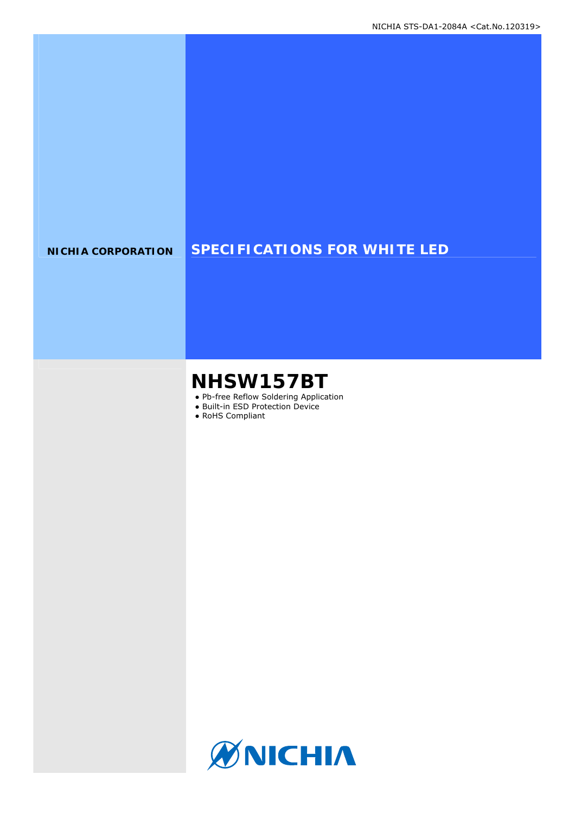### **NICHIA CORPORATION SPECIFICATIONS FOR WHITE LED**

# **NHSW157BT**

- Pb-free Reflow Soldering Application
- Built-in ESD Protection Device
- RoHS Compliant

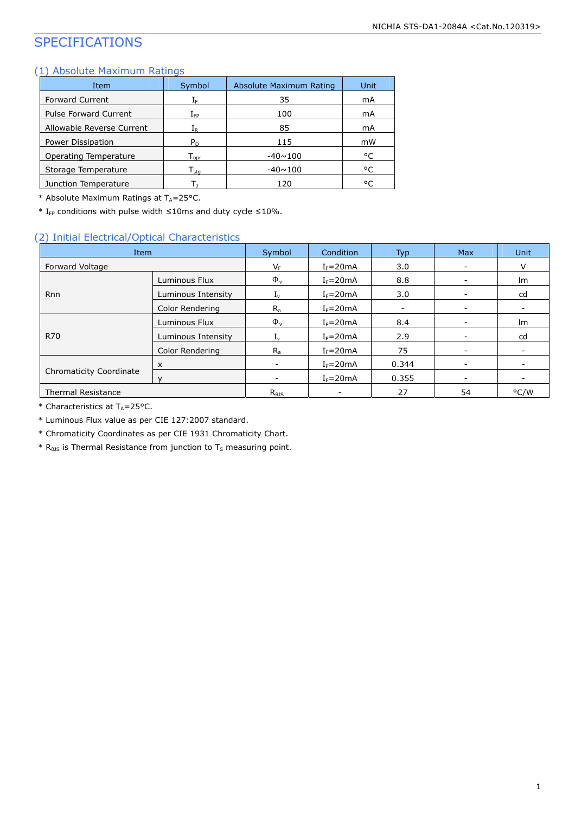### SPECIFICATIONS

### (1) Absolute Maximum Ratings

| Item                         | Symbol                       | Absolute Maximum Rating | Unit |
|------------------------------|------------------------------|-------------------------|------|
| Forward Current              | ΙF                           | 35                      | mA   |
| <b>Pulse Forward Current</b> | ${\rm I}_{\sf FP}$           | 100                     | mA   |
| Allowable Reverse Current    | ${\rm I}_{{\sf R}}$          | 85                      | mA   |
| Power Dissipation            | $P_D$                        | 115                     | mW   |
| Operating Temperature        | ${\mathsf T}_{\textsf{oor}}$ | $-40 \sim 100$          | °C   |
| Storage Temperature          | ${\mathsf T}_{\textsf{sta}}$ | $-40 \sim 100$          | °C   |
| Junction Temperature         |                              | 120                     | °C   |

\* Absolute Maximum Ratings at  $T_A = 25^{\circ}$ C.

\* I<sub>FP</sub> conditions with pulse width  $\leq$ 10ms and duty cycle  $\leq$ 10%.

#### (2) Initial Electrical/Optical Characteristics

| Item                           |                    | Symbol                   | Condition    | Typ.                     | <b>Max</b>               | <b>Unit</b> |
|--------------------------------|--------------------|--------------------------|--------------|--------------------------|--------------------------|-------------|
| Forward Voltage                |                    |                          | $I_F = 20mA$ | 3.0                      | $\overline{\phantom{a}}$ | v           |
|                                | Luminous Flux      | $\Phi_{\rm v}$           | $I_F = 20mA$ | 8.8                      | -                        | Im          |
| <b>Rnn</b>                     | Luminous Intensity | $1_v$                    | $I_F = 20mA$ | 3.0                      | $\overline{\phantom{a}}$ | cd          |
|                                | Color Rendering    | $R_{a}$                  | $I_F = 20mA$ | $\overline{\phantom{a}}$ | $\overline{\phantom{a}}$ |             |
|                                | Luminous Flux      | $\Phi_{v}$               | $I_F = 20mA$ | 8.4                      | $\overline{\phantom{0}}$ | Im          |
| R70                            | Luminous Intensity | 1 <sub>v</sub>           | $I_F = 20mA$ | 2.9                      | $\overline{\phantom{a}}$ | cd          |
|                                | Color Rendering    | $R_{a}$                  | $I_F = 20mA$ | 75                       | $\overline{\phantom{0}}$ |             |
|                                | X                  | $\overline{\phantom{0}}$ | $I_F = 20mA$ | 0.344                    | $\overline{\phantom{a}}$ |             |
| <b>Chromaticity Coordinate</b> |                    |                          | $I_F = 20mA$ | 0.355                    | $\overline{\phantom{a}}$ |             |
| <b>Thermal Resistance</b>      |                    | $R_{\theta}$ is          |              | 27                       | 54                       | °C/W        |

 $*$  Characteristics at T<sub>A</sub>=25°C.

\* Luminous Flux value as per CIE 127:2007 standard.

\* Chromaticity Coordinates as per CIE 1931 Chromaticity Chart.

 $*$  R<sub>0JS</sub> is Thermal Resistance from junction to T<sub>S</sub> measuring point.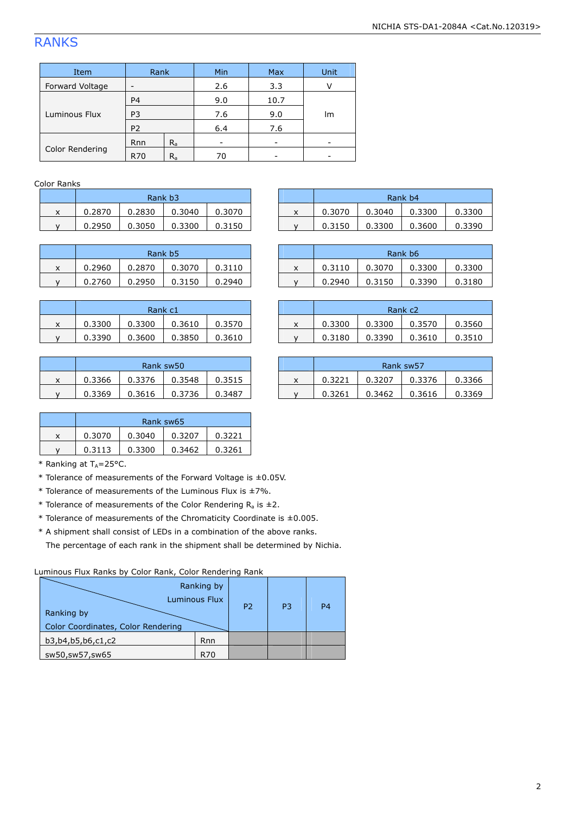## RANKS

| Item            | Rank           |         | Min |      | Unit |  |
|-----------------|----------------|---------|-----|------|------|--|
| Forward Voltage | -              |         | 2.6 | 3.3  | v    |  |
|                 | P <sub>4</sub> |         | 9.0 | 10.7 |      |  |
| Luminous Flux   | P <sub>3</sub> |         | 7.6 | 9.0  | lm   |  |
|                 | P <sub>2</sub> |         | 6.4 | 7.6  |      |  |
|                 | <b>Rnn</b>     | $R_{a}$ |     |      |      |  |
| Color Rendering | <b>R70</b>     | $R_{a}$ | 70  |      |      |  |

#### Color Ranks

|   | Rank b3 |        |        |        |  |  |  |  |
|---|---------|--------|--------|--------|--|--|--|--|
| x | 0.2870  | 0.2830 | 0.3040 | 0.3070 |  |  |  |  |
|   | 0.2950  | 0.3050 | 0.3300 | 0.3150 |  |  |  |  |

|   | Rank b <sub>5</sub> |        |        |        |  |  |  |  |  |
|---|---------------------|--------|--------|--------|--|--|--|--|--|
| x | 0.2960              | 0.2870 | 0.3070 | 0.3110 |  |  |  |  |  |
|   | 0.2760              | 0.2950 | 0.3150 | 0.2940 |  |  |  |  |  |

|   | Rank c1 |        |        |        |  |  |  |  |
|---|---------|--------|--------|--------|--|--|--|--|
| x | 0.3300  | 0.3300 | 0.3610 | 0.3570 |  |  |  |  |
|   | 0.3390  | 0.3600 | 0.3850 | 0.3610 |  |  |  |  |

| Rank sw50 |        |        |        |  |  |  |  |
|-----------|--------|--------|--------|--|--|--|--|
| 0.3366    | 0.3376 | 0.3548 | 0.3515 |  |  |  |  |
| 0.3369    | 0.3616 | 0.3736 | 0.3487 |  |  |  |  |

|   | Rank sw65 |        |        |        |  |  |  |  |  |
|---|-----------|--------|--------|--------|--|--|--|--|--|
| x | 0.3070    | 0.3040 | 0.3207 | 0.3221 |  |  |  |  |  |
|   | 0.3113    | 0.3300 | 0.3462 | 0.3261 |  |  |  |  |  |

\* Ranking at  $T_A = 25$ °C.

- \* Tolerance of measurements of the Forward Voltage is ±0.05V.
- $*$  Tolerance of measurements of the Luminous Flux is  $\pm$ 7%.
- \* Tolerance of measurements of the Color Rendering  $R_a$  is  $\pm 2$ .
- $*$  Tolerance of measurements of the Chromaticity Coordinate is  $\pm 0.005$ .

\* A shipment shall consist of LEDs in a combination of the above ranks.

The percentage of each rank in the shipment shall be determined by Nichia.

Luminous Flux Ranks by Color Rank, Color Rendering Rank

| Ranking by<br>Color Coordinates, Color Rendering | Ranking by<br>Luminous Flux | P <sub>2</sub> | P <sub>3</sub> | P <sub>4</sub> |
|--------------------------------------------------|-----------------------------|----------------|----------------|----------------|
| b3,b4,b5,b6,c1,c2                                | <b>Rnn</b>                  |                |                |                |
| sw50,sw57,sw65                                   | R70                         |                |                |                |

|   | Rank b3 |        |        |        |  |                           |        |        | Rank b4 |        |
|---|---------|--------|--------|--------|--|---------------------------|--------|--------|---------|--------|
| x | 0.2870  | 0.2830 | 0.3040 | 0.3070 |  | $\checkmark$<br>$\lambda$ | 0.3070 | 0.3040 | 0.3300  | 0.3300 |
|   | 0.2950  | 0.3050 | 0.3300 | 0.3150 |  |                           | 0.3150 | 0.3300 | 0.3600  | 0.3390 |
|   |         |        |        |        |  |                           |        |        |         |        |

|   | Rank b <sub>5</sub> |        |        |        |   |        | Rank b <sub>6</sub> |        |        |
|---|---------------------|--------|--------|--------|---|--------|---------------------|--------|--------|
| x | 0.2960              | 0.2870 | 0.3070 | 0.3110 | ́ | 0.3110 | 0.3070              | 0.3300 | 0.3300 |
|   | 0.2760              | 0.2950 | 0.3150 | 0.2940 |   | 0.2940 | 0.3150              | 0.3390 | 0.3180 |

|        | Rank c1 |        |        |        |  |        | Rank c <sub>2</sub> |        |         |
|--------|---------|--------|--------|--------|--|--------|---------------------|--------|---------|
| v<br>^ | 0.3300  | 0.3300 | 0.3610 | 0.3570 |  | 0.3300 | 0.3300              | 0.3570 | 3560 ن  |
|        | 0.3390  | 0.3600 | 0.3850 | 0.3610 |  | 0.3180 | 0.3390              | 0.3610 | ل 3510. |

|   | Rank sw50 |        |        |        | Rank sw57 |        |        |        |        |
|---|-----------|--------|--------|--------|-----------|--------|--------|--------|--------|
| x | 0.3366    | 0.3376 | 0.3548 | 0.3515 | $\lambda$ | 0.3221 | 0.3207 | 0.3376 | 0.3366 |
|   | 0.3369    | 0.3616 | 0.3736 | 0.3487 |           | 0.3261 | 0.3462 | 0.3616 | 0.3369 |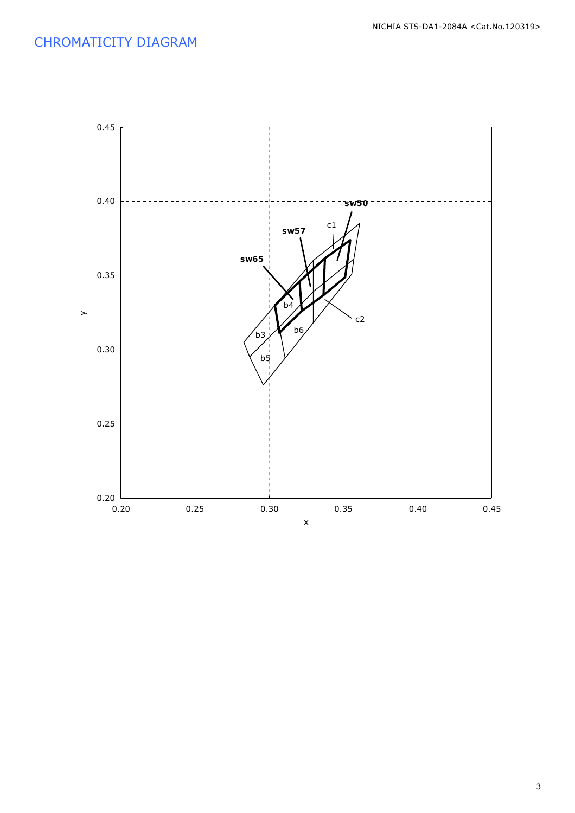### CHROMATICITY DIAGRAM

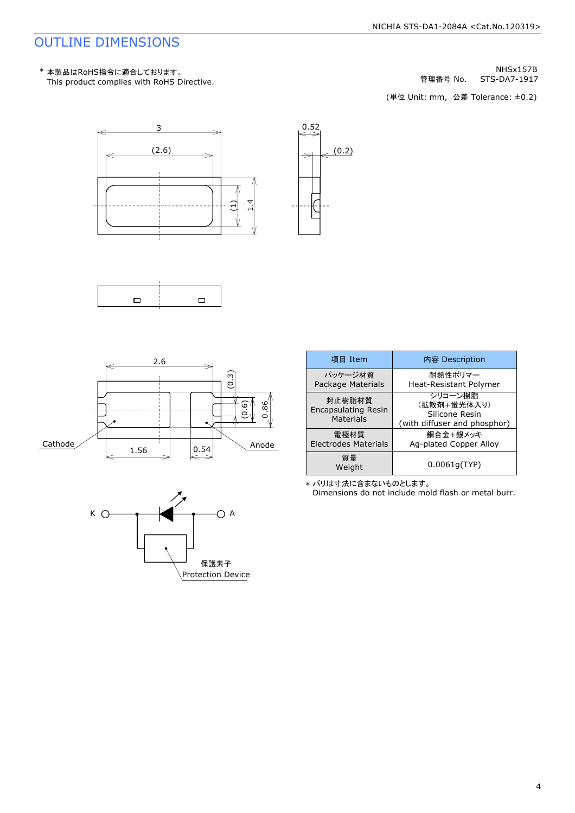### OUTLINE DIMENSIONS

STS-DA7-1917 NHSx157B 管理番号 No.

(単位 Unit: mm) (単位 Unit: mm, 公差 Tolerance: ±0.2)











\* バリは寸法に含まないものとします。

Dimensions do not include mold flash or metal burr.

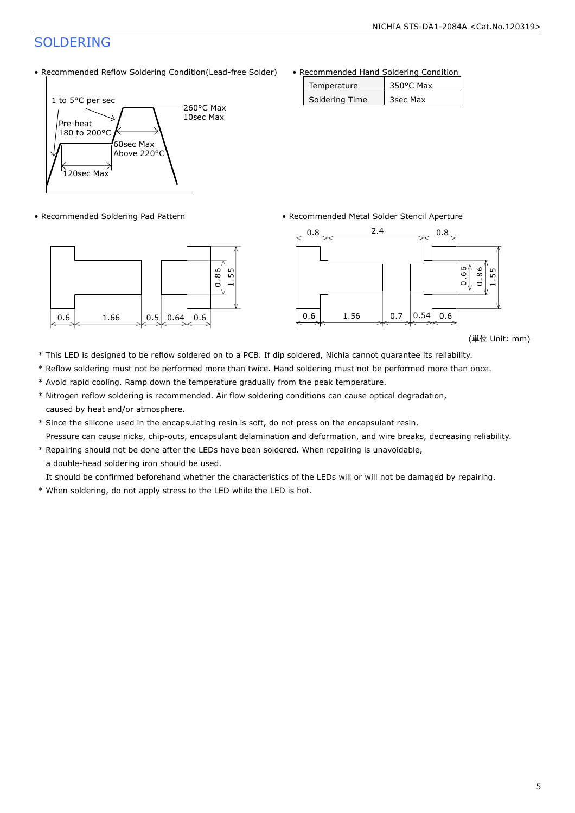### SOLDERING

• Recommended Reflow Soldering Condition(Lead-free Solder)





• Recommended Hand Soldering Condition

| Temperature    | $350^{\circ}$ C Max |
|----------------|---------------------|
| Soldering Time | 3sec Max            |

• Recommended Soldering Pad Pattern • Recommended Metal Solder Stencil Aperture



<sup>(</sup>単位 Unit: mm)

- \* This LED is designed to be reflow soldered on to a PCB. If dip soldered, Nichia cannot guarantee its reliability.
- \* Reflow soldering must not be performed more than twice. Hand soldering must not be performed more than once.
- \* Avoid rapid cooling. Ramp down the temperature gradually from the peak temperature.
- \* Nitrogen reflow soldering is recommended. Air flow soldering conditions can cause optical degradation, caused by heat and/or atmosphere.
- \* Since the silicone used in the encapsulating resin is soft, do not press on the encapsulant resin. Pressure can cause nicks, chip-outs, encapsulant delamination and deformation, and wire breaks, decreasing reliability.
- \* Repairing should not be done after the LEDs have been soldered. When repairing is unavoidable, a double-head soldering iron should be used.

It should be confirmed beforehand whether the characteristics of the LEDs will or will not be damaged by repairing.

\* When soldering, do not apply stress to the LED while the LED is hot.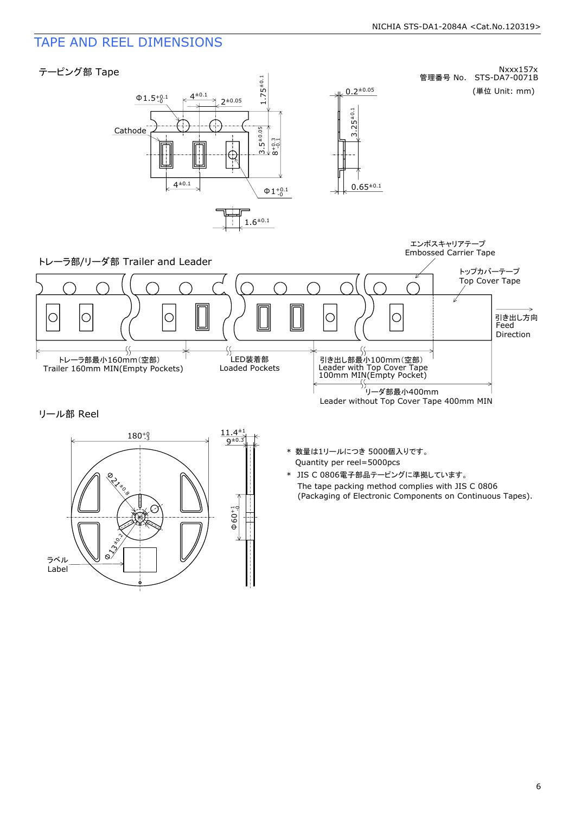### TAPE AND REEL DIMENSIONS



リール部 Reel



- Quantity per reel=5000pcs \* 数量は1リールにつき 5000個入りです。
- The tape packing method complies with JIS C 0806 (Packaging of Electronic Components on Continuous Tapes). \* JIS C 0806電子部品テーピングに準拠しています。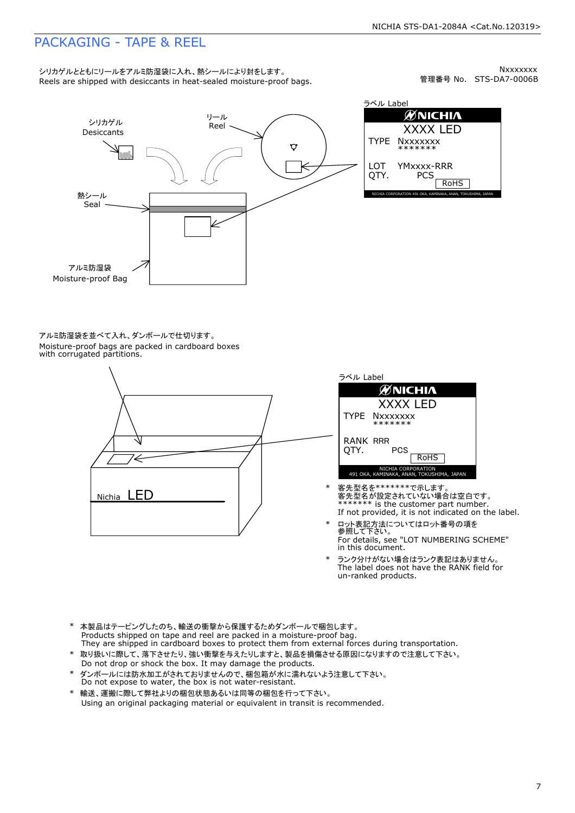### PACKAGING - TAPE & REEL

Reels are shipped with desiccants in heat-sealed moisture-proof bags. シリカゲルとともにリールをアルミ防湿袋に入れ、熱シールにより封をします。

管理番号 No. STS-DA7-0006B **Nxxxxxxx** 



ラベル Label **ØNICHIA** XXXX LED TYPE **Nxxxxxxx** \*\*\*\*\*\*\* LOT YMxxxx-RRR QTY. **PCS** RoHS NICHIA CORPORATION 491 OKA, KAMINAKA, ANAN, TOKUSHIMA, JAPAN

Moisture-proof bags are packed in cardboard boxes with corrugated partitions. アルミ防湿袋を並べて入れ、ダンボールで仕切ります。





- If not provided, it is not indicated on the label. \*\*\*\*\*\*\*\* is the customer part number. 客先型名が設定されていない場合は空白です。 \* 客先型名を\*\*\*\*\*\*\*で示します。
- \* ロット表記方法についてはロット番号の項を<br> 参照して下さい。 For details, see "LOT NUMBERING SCHEME" in this document.
- The label does not have the RANK field for un-ranked products. \* ランク分けがない場合はランク表記はありません。
- Products shipped on tape and reel are packed in a moisture-proof bag. They are shipped in cardboard boxes to protect them from external forces during transportation. \* 本製品はテーピングしたのち、輸送の衝撃から保護するためダンボールで梱包します。
- 取り扱いに際して、落下させたり、強い衝撃を与えたりしますと、製品を損傷させる原因になりますので注意して下さい。 Do not drop or shock the box. It may damage the products.
- \* ダンボールには防水加工がされておりませんので、梱包箱が水に濡れないよう注意して下さい。 Do not expose to water, the box is not water-resistant.
- \* 輸送、運搬に際して弊社よりの梱包状態あるいは同等の梱包を行って下さい。 Using an original packaging material or equivalent in transit is recommended.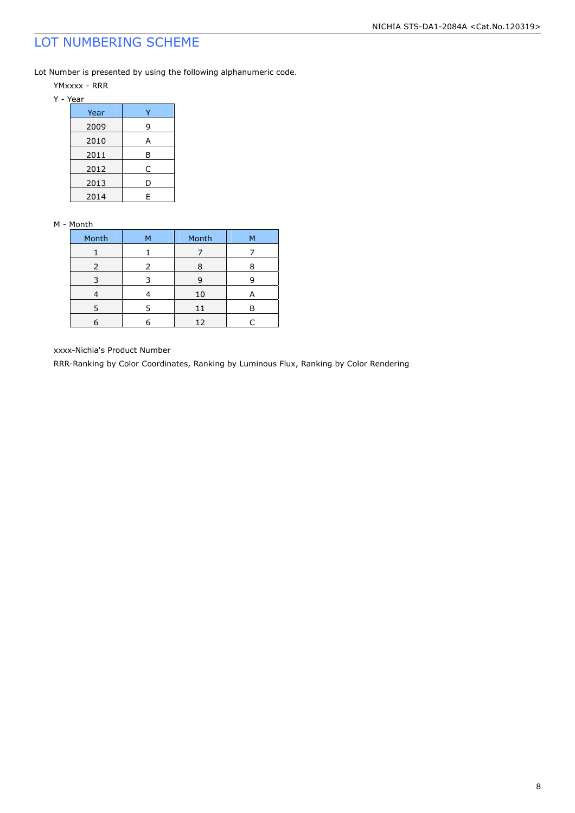### LOT NUMBERING SCHEME

Lot Number is presented by using the following alphanumeric code.

YMxxxx - RRR

| Year |   |
|------|---|
| 2009 | 9 |
| 2010 | А |
| 2011 | В |
| 2012 | C |
| 2013 | D |
| 2014 | F |

#### M - Month

| Month         | м | Month | м |
|---------------|---|-------|---|
|               |   |       |   |
| $\mathcal{L}$ |   | я     |   |
|               |   | ч     |   |
|               |   | 10    | А |
|               |   | 11    |   |
|               |   | 12    |   |

xxxx-Nichia's Product Number

RRR-Ranking by Color Coordinates, Ranking by Luminous Flux, Ranking by Color Rendering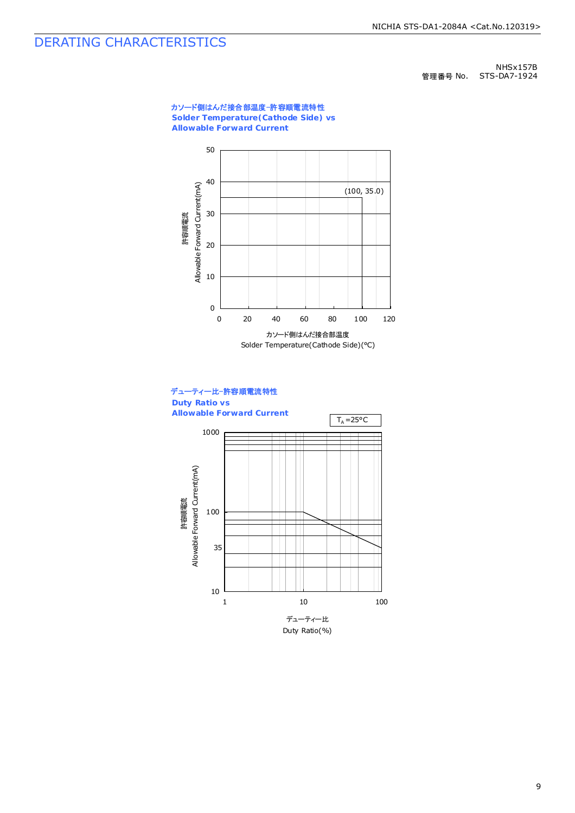### DERATING CHARACTERISTICS

NHSx157B 管理番号 No. STS-DA7-1924

#### カソード側はんだ接合部温度-許容順電流特性 **Solder Temperature(Cathode Side) vs**

**Allowable Forward Current**



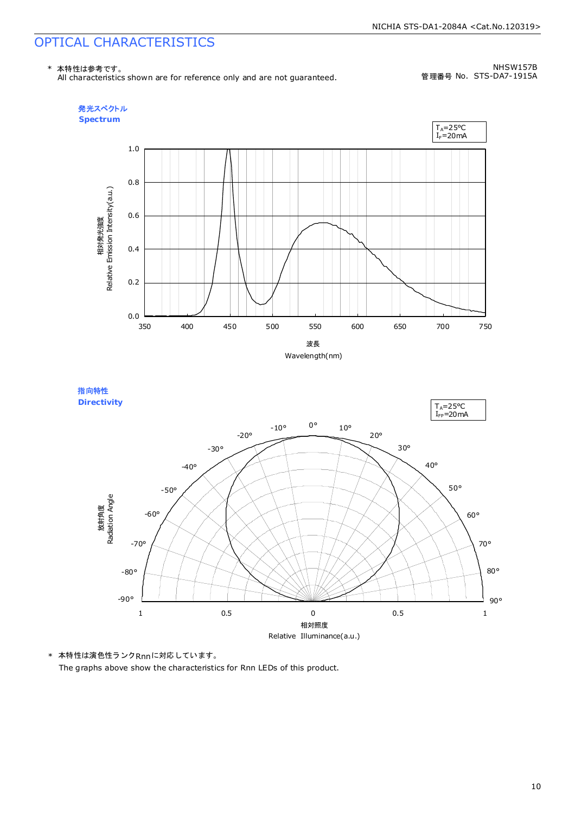### OPTICAL CHARACTERISTICS

\* 本特性は参考です。

All characteristics shown are for reference only and are not guaranteed.

NHSW157B 管理番号 No. STS-DA7-1915A





\* 本特性は演色性ランクRnnに対応しています。 The graphs above show the characteristics for Rnn LEDs of this product.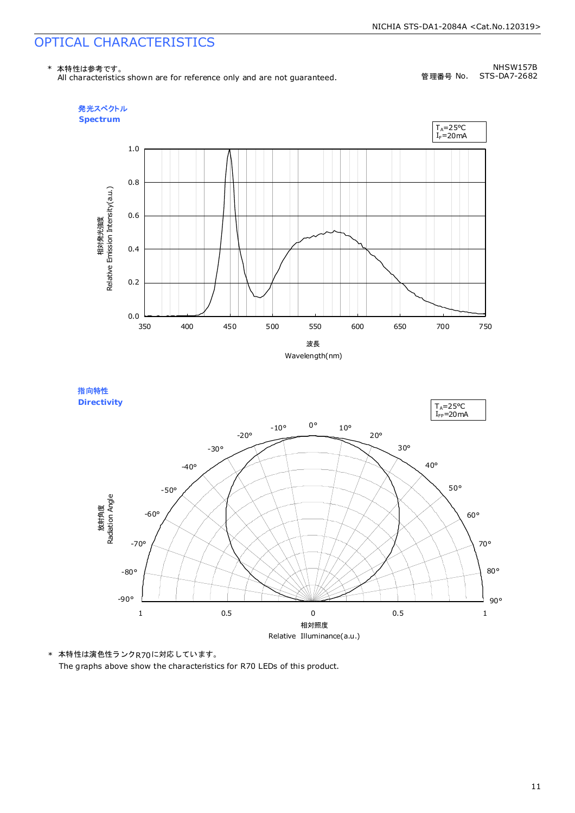### OPTICAL CHARACTERISTICS

\* 本特性は参考です。

All characteristics shown are for reference only and are not guaranteed.

NHSW157B 管理番号 No. STS-DA7-2682





\* 本特性は演色性ランクR70に対応しています。 The graphs above show the characteristics for R70 LEDs of this product.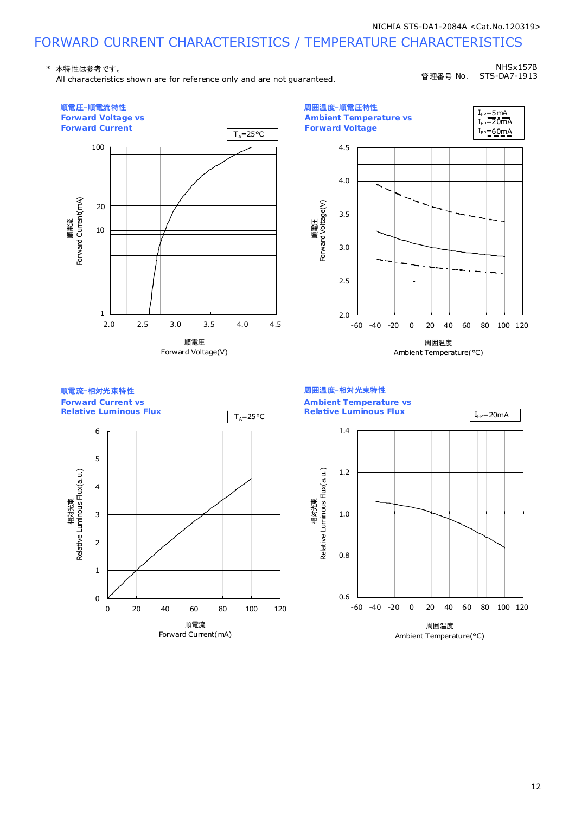### FORWARD CURRENT CHARACTERISTICS / TEMPERATURE CHARACTERISTICS

#### \* 本特性は参考です。

All characteristics shown are for reference only and are not guaranteed.

NHSx157B 管理番号 No. STS-DA7-1913

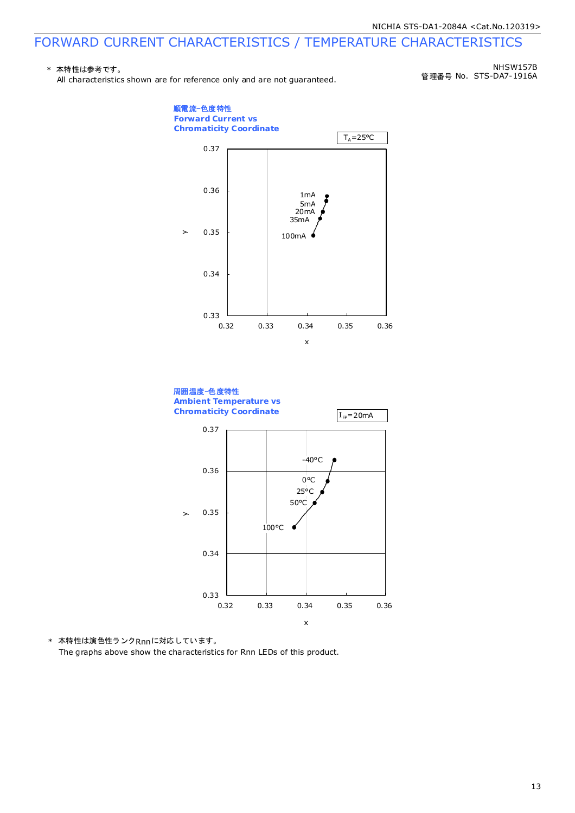### FORWARD CURRENT CHARACTERISTICS / TEMPERATURE CHARACTERISTICS

#### \* 本特性は参考です。

All characteristics shown are for reference only and are not guaranteed.

管理番号 No. STS-DA7-1916A NHSW157B





\* 本特性は演色性ランクRnnに対応しています。 The graphs above show the characteristics for Rnn LEDs of this product.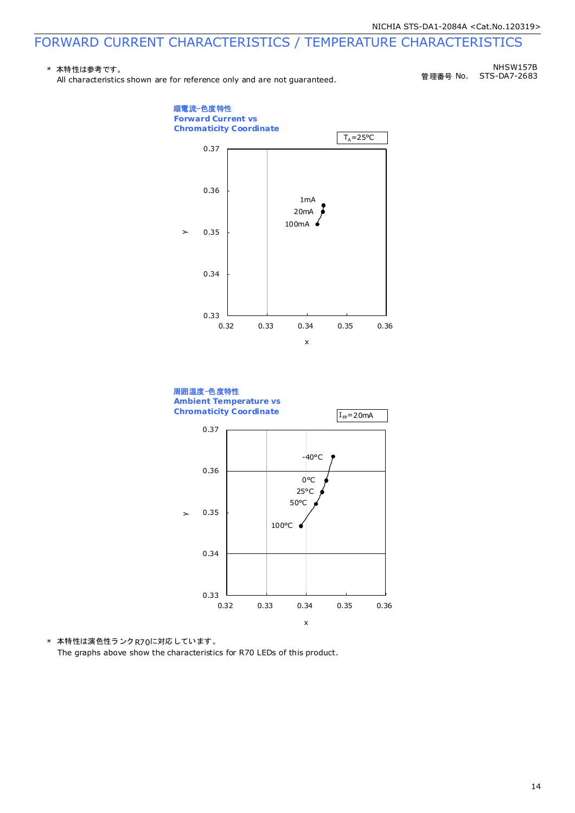### FORWARD CURRENT CHARACTERISTICS / TEMPERATURE CHARACTERISTICS

#### \* 本特性は参考です。

All characteristics shown are for reference only and are not guaranteed.

管理番号 No. NHSW157B STS-DA7-2683





\* 本特性は演色性ランクR70に対応しています。

The graphs above show the characteristics for R70 LEDs of this product.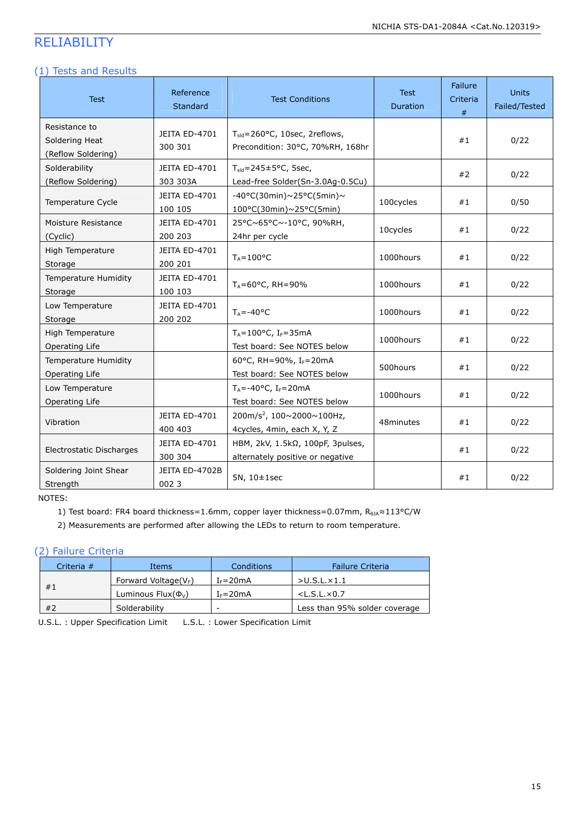### RELIABILITY

#### (1) Tests and Results

| <b>Test</b>                                                 | Reference<br>Standard     | <b>Test Conditions</b>                                                                | <b>Test</b><br>Duration | Failure<br>Criteria<br># | <b>Units</b><br>Failed/Tested |
|-------------------------------------------------------------|---------------------------|---------------------------------------------------------------------------------------|-------------------------|--------------------------|-------------------------------|
| Resistance to<br>Soldering Heat<br>(Reflow Soldering)       | JEITA ED-4701<br>300 301  | $T_{\text{std}}$ =260°C, 10sec, 2reflows,<br>Precondition: 30°C, 70%RH, 168hr         |                         | #1                       | 0/22                          |
| Solderability<br>(Reflow Soldering)                         | JEITA ED-4701<br>303 303A | $T_{\text{std}} = 245 \pm 5^{\circ}$ C, 5sec,<br>Lead-free Solder(Sn-3.0Ag-0.5Cu)     |                         | #2                       | 0/22                          |
| Temperature Cycle                                           | JEITA ED-4701<br>100 105  | $-40^{\circ}$ C(30min)~25°C(5min)~<br>100°C(30min)~25°C(5min)                         | 100cycles               | #1                       | 0/50                          |
| Moisture Resistance<br>(Cyclic)                             | JEITA ED-4701<br>200 203  | 25°C~65°C~-10°C, 90%RH,<br>24hr per cycle                                             | 10cycles                | #1                       | 0/22                          |
| High Temperature<br>Storage                                 | JEITA ED-4701<br>200 201  | $T_A = 100$ °C                                                                        | 1000hours               | #1                       | 0/22                          |
| Temperature Humidity<br>Storage                             | JEITA ED-4701<br>100 103  | $T_A = 60^{\circ}$ C, RH = 90%                                                        | 1000hours               | #1                       | 0/22                          |
| Low Temperature<br>Storage                                  | JEITA ED-4701<br>200 202  | $T_A = -40$ °C                                                                        | 1000hours               | #1                       | 0/22                          |
| High Temperature<br>Operating Life                          |                           | $T_A = 100^{\circ}$ C, I <sub>F</sub> =35mA<br>Test board: See NOTES below            | 1000hours               | #1                       | 0/22                          |
| Temperature Humidity<br>Operating Life                      |                           | 60°C, RH=90%, I <sub>F</sub> =20mA<br>Test board: See NOTES below                     | 500hours                | #1                       | 0/22                          |
| Low Temperature<br>Operating Life                           |                           | $T_A = -40$ °C, I <sub>F</sub> =20mA<br>Test board: See NOTES below                   | 1000hours               | #1                       | 0/22                          |
| Vibration                                                   | JEITA ED-4701<br>400 403  | 200m/s <sup>2</sup> , $100 \times 2000 \times 100$ Hz,<br>4cycles, 4min, each X, Y, Z | 48minutes               | #1                       | 0/22                          |
| JEITA ED-4701<br>Electrostatic Discharges<br>300 304        |                           | HBM, 2kV, 1.5kΩ, 100pF, 3pulses,<br>alternately positive or negative                  |                         | #1                       | 0/22                          |
| Soldering Joint Shear<br>JEITA ED-4702B<br>0023<br>Strength |                           | 5N, 10±1sec                                                                           |                         | #1                       | 0/22                          |

NOTES:

1) Test board: FR4 board thickness=1.6mm, copper layer thickness=0.07mm, R<sub>0JA</sub>≈113°C/W

2) Measurements are performed after allowing the LEDs to return to room temperature.

#### (2) Failure Criteria

| Criteria $#$ |  | Items                       | Conditions   | <b>Failure Criteria</b>       |
|--------------|--|-----------------------------|--------------|-------------------------------|
|              |  | Forward Voltage( $V_F$ )    | $I_F = 20mA$ | $>$ U.S.L. $\times$ 1.1       |
| #1           |  | Luminous Flux( $\Phi_{V}$ ) | $I_F = 20mA$ | $<$ L.S.L. $\times$ 0.7       |
| #2           |  | Solderability               | -            | Less than 95% solder coverage |

U.S.L. : Upper Specification Limit L.S.L. : Lower Specification Limit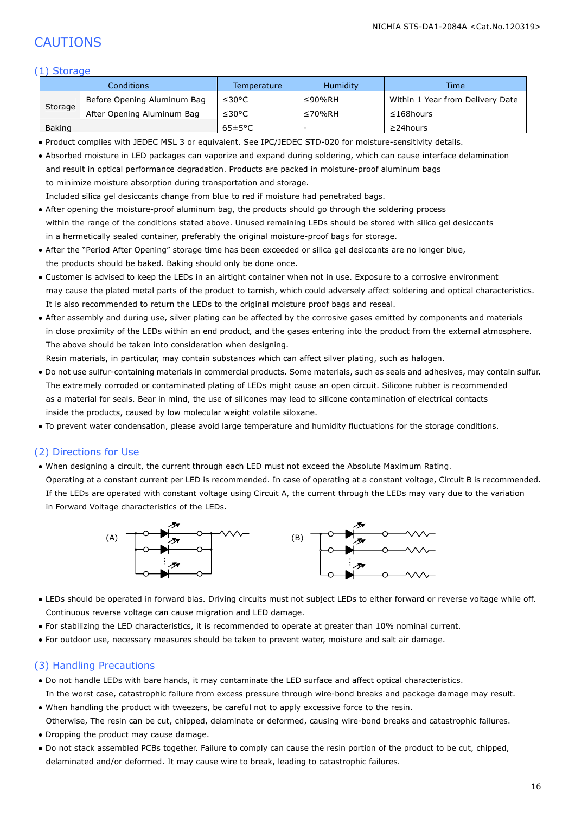### CAUTIONS

#### (1) Storage

| Conditions |                             | Temperature          | <b>Humidity</b> | <b>Time</b>                      |  |
|------------|-----------------------------|----------------------|-----------------|----------------------------------|--|
|            | Before Opening Aluminum Bag | ≤30°C                | ≤90%RH          | Within 1 Year from Delivery Date |  |
| Storage    | After Opening Aluminum Bag  | ≤30°C                | $\leq 70\%$ RH  | $\leq$ 168 hours                 |  |
| Baking     |                             | $65 \pm 5^{\circ}$ C |                 | $\geq$ 24 hours                  |  |

● Product complies with JEDEC MSL 3 or equivalent. See IPC/JEDEC STD-020 for moisture-sensitivity details.

| • Absorbed moisture in LED packages can vaporize and expand during soldering, which can cause interface delamination |
|----------------------------------------------------------------------------------------------------------------------|
| and result in optical performance degradation. Products are packed in moisture-proof aluminum bags                   |
| to minimize moisture absorption during transportation and storage.                                                   |
| Included silica gel desiccants change from blue to red if moisture had penetrated bags.                              |

- After opening the moisture-proof aluminum bag, the products should go through the soldering process within the range of the conditions stated above. Unused remaining LEDs should be stored with silica gel desiccants in a hermetically sealed container, preferably the original moisture-proof bags for storage.
- After the "Period After Opening" storage time has been exceeded or silica gel desiccants are no longer blue, the products should be baked. Baking should only be done once.
- Customer is advised to keep the LEDs in an airtight container when not in use. Exposure to a corrosive environment may cause the plated metal parts of the product to tarnish, which could adversely affect soldering and optical characteristics. It is also recommended to return the LEDs to the original moisture proof bags and reseal.
- After assembly and during use, silver plating can be affected by the corrosive gases emitted by components and materials in close proximity of the LEDs within an end product, and the gases entering into the product from the external atmosphere. The above should be taken into consideration when designing.

Resin materials, in particular, may contain substances which can affect silver plating, such as halogen.

- Do not use sulfur-containing materials in commercial products. Some materials, such as seals and adhesives, may contain sulfur. The extremely corroded or contaminated plating of LEDs might cause an open circuit. Silicone rubber is recommended as a material for seals. Bear in mind, the use of silicones may lead to silicone contamination of electrical contacts inside the products, caused by low molecular weight volatile siloxane.
- To prevent water condensation, please avoid large temperature and humidity fluctuations for the storage conditions.

#### (2) Directions for Use

● When designing a circuit, the current through each LED must not exceed the Absolute Maximum Rating.

 Operating at a constant current per LED is recommended. In case of operating at a constant voltage, Circuit B is recommended. If the LEDs are operated with constant voltage using Circuit A, the current through the LEDs may vary due to the variation in Forward Voltage characteristics of the LEDs.



- LEDs should be operated in forward bias. Driving circuits must not subject LEDs to either forward or reverse voltage while off. Continuous reverse voltage can cause migration and LED damage.
- For stabilizing the LED characteristics, it is recommended to operate at greater than 10% nominal current.
- For outdoor use, necessary measures should be taken to prevent water, moisture and salt air damage.

#### (3) Handling Precautions

- Do not handle LEDs with bare hands, it may contaminate the LED surface and affect optical characteristics. In the worst case, catastrophic failure from excess pressure through wire-bond breaks and package damage may result.
- When handling the product with tweezers, be careful not to apply excessive force to the resin. Otherwise, The resin can be cut, chipped, delaminate or deformed, causing wire-bond breaks and catastrophic failures.
- Dropping the product may cause damage.
- Do not stack assembled PCBs together. Failure to comply can cause the resin portion of the product to be cut, chipped, delaminated and/or deformed. It may cause wire to break, leading to catastrophic failures.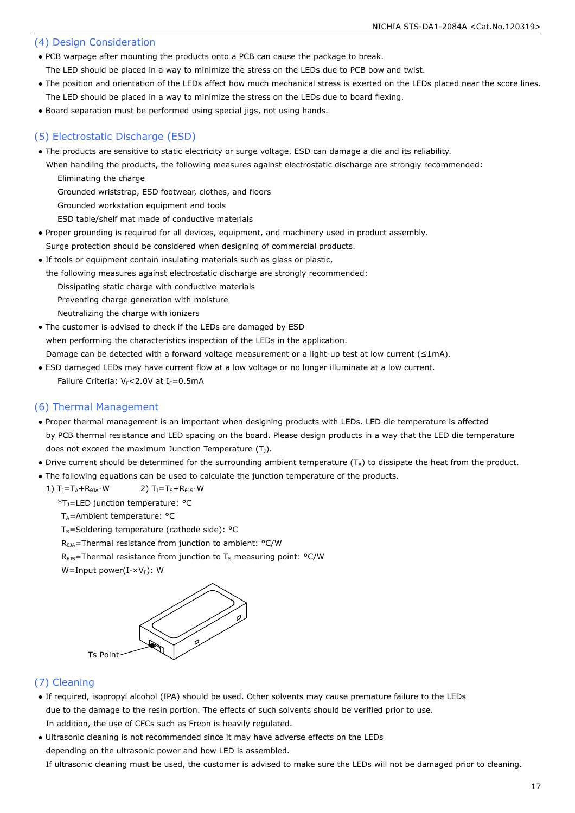#### (4) Design Consideration

● PCB warpage after mounting the products onto a PCB can cause the package to break.

The LED should be placed in a way to minimize the stress on the LEDs due to PCB bow and twist.

- The position and orientation of the LEDs affect how much mechanical stress is exerted on the LEDs placed near the score lines. The LED should be placed in a way to minimize the stress on the LEDs due to board flexing.
- Board separation must be performed using special jigs, not using hands.

#### (5) Electrostatic Discharge (ESD)

- The products are sensitive to static electricity or surge voltage. ESD can damage a die and its reliability.
- When handling the products, the following measures against electrostatic discharge are strongly recommended: Eliminating the charge
	- Grounded wriststrap, ESD footwear, clothes, and floors
	- Grounded workstation equipment and tools

ESD table/shelf mat made of conductive materials

- Proper grounding is required for all devices, equipment, and machinery used in product assembly.
- Surge protection should be considered when designing of commercial products.
- If tools or equipment contain insulating materials such as glass or plastic,

the following measures against electrostatic discharge are strongly recommended:

Dissipating static charge with conductive materials

Preventing charge generation with moisture

Neutralizing the charge with ionizers

• The customer is advised to check if the LEDs are damaged by ESD when performing the characteristics inspection of the LEDs in the application. Damage can be detected with a forward voltage measurement or a light-up test at low current (≤1mA).

● ESD damaged LEDs may have current flow at a low voltage or no longer illuminate at a low current. Failure Criteria:  $V_F$ <2.0V at I<sub>F</sub>=0.5mA

#### (6) Thermal Management

- Proper thermal management is an important when designing products with LEDs. LED die temperature is affected by PCB thermal resistance and LED spacing on the board. Please design products in a way that the LED die temperature does not exceed the maximum Junction Temperature  $(T<sub>J</sub>)$ .
- Drive current should be determined for the surrounding ambient temperature (T<sub>A</sub>) to dissipate the heat from the product.
- The following equations can be used to calculate the junction temperature of the products.
	- 1)  $T_1 = T_A + R_{\thetaJA} \cdot W$  2)  $T_1 = T_S + R_{\thetaJS} \cdot W$

 $*T_1$ =LED junction temperature:  $°C$ 

 $T_A$ =Ambient temperature: °C

- $T_S$ =Soldering temperature (cathode side): °C
- R<sub>θJA</sub>=Thermal resistance from junction to ambient: °C/W
- $R<sub>0JS</sub>$ =Thermal resistance from junction to T<sub>S</sub> measuring point: °C/W

W=Input power( $I_F\times V_F$ ): W



#### (7) Cleaning

- If required, isopropyl alcohol (IPA) should be used. Other solvents may cause premature failure to the LEDs due to the damage to the resin portion. The effects of such solvents should be verified prior to use. In addition, the use of CFCs such as Freon is heavily regulated.
- Ultrasonic cleaning is not recommended since it may have adverse effects on the LEDs depending on the ultrasonic power and how LED is assembled.

If ultrasonic cleaning must be used, the customer is advised to make sure the LEDs will not be damaged prior to cleaning.